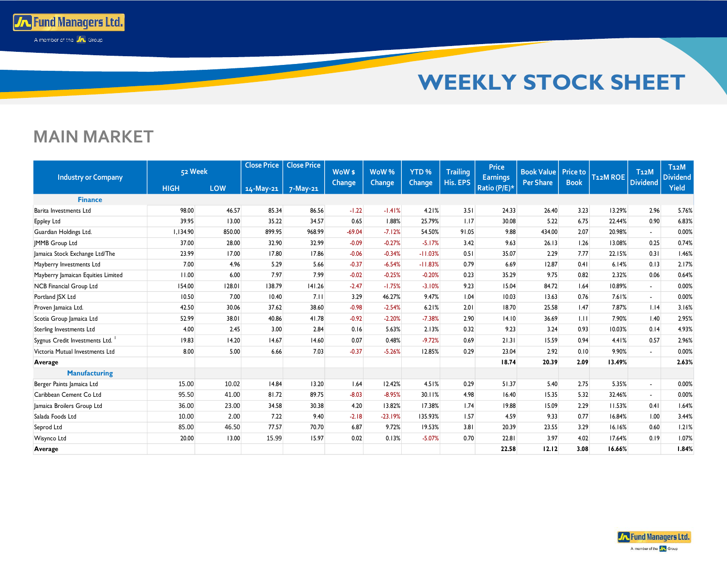

## **MAIN MARKET**

**To Fund Managers Ltd.** A member of the **A** Group

|                                    | 52 Week     |        | <b>Close Price</b>      | <b>Close Price</b> | WoW <sub>\$</sub> | WoW%      | YTD <sub>%</sub> | <b>Trailing</b> | <b>Price</b>                    | <b>Book Value</b> | <b>Price to</b> |                       | T <sub>12</sub> M        | T <sub>12</sub> M        |
|------------------------------------|-------------|--------|-------------------------|--------------------|-------------------|-----------|------------------|-----------------|---------------------------------|-------------------|-----------------|-----------------------|--------------------------|--------------------------|
| <b>Industry or Company</b>         | <b>HIGH</b> | LOW    | $14$ -May-21   7-May-21 |                    | Change            | Change    | <b>Change</b>    | His. EPS        | <b>Earnings</b><br>Ratio (P/E)* | <b>Per Share</b>  | <b>Book</b>     | T <sub>12</sub> M ROE | <b>Dividend</b>          | <b>Dividend</b><br>Yield |
| <b>Finance</b>                     |             |        |                         |                    |                   |           |                  |                 |                                 |                   |                 |                       |                          |                          |
| Barita Investments Ltd             | 98.00       | 46.57  | 85.34                   | 86.56              | $-1.22$           | $-1.41%$  | 4.21%            | 3.51            | 24.33                           | 26.40             | 3.23            | 13.29%                | 2.96                     | 5.76%                    |
| <b>Eppley Ltd</b>                  | 39.95       | 13.00  | 35.22                   | 34.57              | 0.65              | 1.88%     | 25.79%           | 1.17            | 30.08                           | 5.22              | 6.75            | 22.44%                | 0.90                     | 6.83%                    |
| Guardian Holdings Ltd.             | 1,134.90    | 850.00 | 899.95                  | 968.99             | $-69.04$          | $-7.12%$  | 54.50%           | 91.05           | 9.88                            | 434.00            | 2.07            | 20.98%                | $\sim$                   | 0.00%                    |
| <b>IMMB</b> Group Ltd              | 37.00       | 28.00  | 32.90                   | 32.99              | $-0.09$           | $-0.27%$  | $-5.17%$         | 3.42            | 9.63                            | 26.13             | 1.26            | 13.08%                | 0.25                     | 0.74%                    |
| Jamaica Stock Exchange Ltd/The     | 23.99       | 17.00  | 17.80                   | 17.86              | $-0.06$           | $-0.34%$  | $-11.03%$        | 0.51            | 35.07                           | 2.29              | 7.77            | 22.15%                | 0.31                     | 1.46%                    |
| Mayberry Investments Ltd           | 7.00        | 4.96   | 5.29                    | 5.66               | $-0.37$           | $-6.54%$  | $-11.83%$        | 0.79            | 6.69                            | 12.87             | 0.41            | 6.14%                 | 0.13                     | 2.17%                    |
| Mayberry Jamaican Equities Limited | 11.00       | 6.00   | 7.97                    | 7.99               | $-0.02$           | $-0.25%$  | $-0.20%$         | 0.23            | 35.29                           | 9.75              | 0.82            | 2.32%                 | 0.06                     | 0.64%                    |
| NCB Financial Group Ltd            | 154.00      | 128.01 | 138.79                  | 141.26             | $-2.47$           | $-1.75%$  | $-3.10%$         | 9.23            | 15.04                           | 84.72             | 1.64            | 10.89%                | $\overline{a}$           | 0.00%                    |
| Portland JSX Ltd                   | 10.50       | 7.00   | 10.40                   | 7.11               | 3.29              | 46.27%    | 9.47%            | 1.04            | 10.03                           | 13.63             | 0.76            | 7.61%                 | $\sim$                   | 0.00%                    |
| Proven Jamaica Ltd.                | 42.50       | 30.06  | 37.62                   | 38.60              | $-0.98$           | $-2.54%$  | 6.21%            | 2.01            | 18.70                           | 25.58             | 1.47            | 7.87%                 | 1.14                     | 3.16%                    |
| Scotia Group Jamaica Ltd           | 52.99       | 38.01  | 40.86                   | 41.78              | $-0.92$           | $-2.20%$  | $-7.38%$         | 2.90            | 14.10                           | 36.69             | 1.11            | 7.90%                 | 1.40                     | 2.95%                    |
| <b>Sterling Investments Ltd</b>    | 4.00        | 2.45   | 3.00                    | 2.84               | 0.16              | 5.63%     | 2.13%            | 0.32            | 9.23                            | 3.24              | 0.93            | 10.03%                | 0.14                     | 4.93%                    |
| Sygnus Credit Investments Ltd.     | 19.83       | 14.20  | 14.67                   | 14.60              | 0.07              | 0.48%     | $-9.72%$         | 0.69            | 21.31                           | 15.59             | 0.94            | 4.41%                 | 0.57                     | 2.96%                    |
| Victoria Mutual Investments Ltd    | 8.00        | 5.00   | 6.66                    | 7.03               | $-0.37$           | $-5.26%$  | 12.85%           | 0.29            | 23.04                           | 2.92              | 0.10            | 9.90%                 | $\overline{a}$           | 0.00%                    |
| Average                            |             |        |                         |                    |                   |           |                  |                 | 18.74                           | 20.39             | 2.09            | 13.49%                |                          | 2.63%                    |
| <b>Manufacturing</b>               |             |        |                         |                    |                   |           |                  |                 |                                 |                   |                 |                       |                          |                          |
| Berger Paints Jamaica Ltd          | 15.00       | 10.02  | 14.84                   | 13.20              | 1.64              | 12.42%    | 4.51%            | 0.29            | 51.37                           | 5.40              | 2.75            | 5.35%                 | $\overline{\phantom{a}}$ | 0.00%                    |
| Caribbean Cement Co Ltd            | 95.50       | 41.00  | 81.72                   | 89.75              | $-8.03$           | $-8.95%$  | 30.11%           | 4.98            | 16.40                           | 15.35             | 5.32            | 32.46%                | $\sim$                   | 0.00%                    |
| Jamaica Broilers Group Ltd         | 36.00       | 23.00  | 34.58                   | 30.38              | 4.20              | 13.82%    | 17.38%           | 1.74            | 19.88                           | 15.09             | 2.29            | 11.53%                | 0.41                     | 1.64%                    |
| Salada Foods Ltd                   | 10.00       | 2.00   | 7.22                    | 9.40               | $-2.18$           | $-23.19%$ | 135.93%          | 1.57            | 4.59                            | 9.33              | 0.77            | 16.84%                | 1.00                     | 3.44%                    |
| Seprod Ltd                         | 85.00       | 46.50  | 77.57                   | 70.70              | 6.87              | 9.72%     | 19.53%           | 3.81            | 20.39                           | 23.55             | 3.29            | 16.16%                | 0.60                     | 1.21%                    |
| Wisynco Ltd                        | 20.00       | 13.00  | 15.99                   | 15.97              | 0.02              | 0.13%     | $-5.07%$         | 0.70            | 22.81                           | 3.97              | 4.02            | 17.64%                | 0.19                     | 1.07%                    |
| Average                            |             |        |                         |                    |                   |           |                  |                 | 22.58                           | 12.12             | 3.08            | 16.66%                |                          | 1.84%                    |

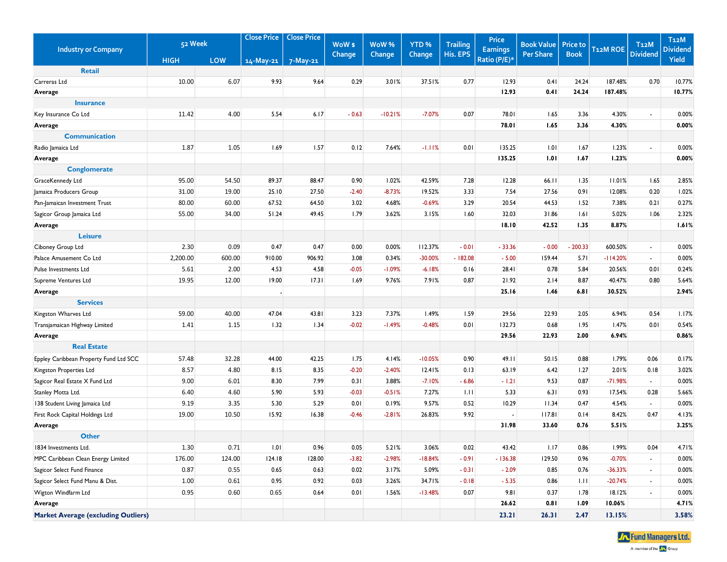| <b>Close Price</b><br><b>Close Price</b><br>52 Week<br>WoW \$<br>WoW%<br>YTD <sub>%</sub><br><b>Trailing</b><br><b>Industry or Company</b> | Price<br><b>Earnings</b> | <b>Book Value</b> | <b>Price to</b> | T <sub>12</sub> M ROE | T <sub>12</sub> M           | T <sub>12</sub> M<br><b>Dividend</b> |
|--------------------------------------------------------------------------------------------------------------------------------------------|--------------------------|-------------------|-----------------|-----------------------|-----------------------------|--------------------------------------|
| His. EPS<br>Change<br>Change<br><b>Change</b><br>LOW<br><b>HIGH</b><br>14-May-21<br>7-May-21                                               | Ratio (P/E)*             | <b>Per Share</b>  | <b>Book</b>     |                       | <b>Dividend</b>             | Yield                                |
| <b>Retail</b>                                                                                                                              |                          |                   |                 |                       |                             |                                      |
| 10.00<br>6.07<br>9.93<br>9.64<br>Carreras Ltd<br>0.29<br>3.01%<br>37.51%<br>0.77                                                           | 12.93                    | 0.41              | 24.24           | 187.48%               | 0.70                        | 10.77%                               |
| Average                                                                                                                                    | 12.93                    | 0.41              | 24.24           | 187.48%               |                             | 10.77%                               |
| <b>Insurance</b>                                                                                                                           |                          |                   |                 |                       |                             |                                      |
| Key Insurance Co Ltd<br>11.42<br>4.00<br>5.54<br>6.17<br>$-0.63$<br>$-10.21%$<br>$-7.07%$<br>0.07                                          | 78.01                    | 1.65              | 3.36            | 4.30%                 | $\sim$                      | 0.00%                                |
| Average                                                                                                                                    | 78.01                    | 1.65              | 3.36            | 4.30%                 |                             | 0.00%                                |
| <b>Communication</b>                                                                                                                       |                          |                   |                 |                       |                             |                                      |
| 1.87<br>1.05<br>1.69<br>1.57<br>0.12<br>7.64%<br>$-1.11%$<br>0.01<br>Radio Jamaica Ltd                                                     | 135.25                   | 1.01              | 1.67            | 1.23%                 | $\sim$                      | 0.00%                                |
| Average                                                                                                                                    | 135.25                   | 1.01              | 1.67            | 1.23%                 |                             | 0.00%                                |
| <b>Conglomerate</b>                                                                                                                        |                          |                   |                 |                       |                             |                                      |
| 95.00<br>54.50<br>89.37<br>88.47<br>0.90<br>1.02%<br>42.59%<br>7.28<br>GraceKennedy Ltd                                                    | 12.28                    | 66.11             | 1.35            | 11.01%                | 1.65                        | 2.85%                                |
| 3.33<br>31.00<br>19.00<br>25.10<br>27.50<br>$-2.40$<br>$-8.73%$<br>19.52%<br>Jamaica Producers Group                                       | 7.54                     | 27.56             | 0.91            | 12.08%                | 0.20                        | 1.02%                                |
| 67.52<br>64.50<br>4.68%<br>$-0.69%$<br>3.29<br>80.00<br>60.00<br>3.02<br>Pan-Jamaican Investment Trust                                     | 20.54                    | 44.53             | 1.52            | 7.38%                 | 0.21                        | 0.27%                                |
| 55.00<br>34.00<br>51.24<br>49.45<br>1.79<br>3.62%<br>3.15%<br>1.60<br>Sagicor Group Jamaica Ltd                                            | 32.03                    | 31.86             | 1.61            | 5.02%                 | 1.06                        | 2.32%                                |
| Average                                                                                                                                    | 18.10                    | 42.52             | 1.35            | 8.87%                 |                             | 1.61%                                |
| Leisure                                                                                                                                    |                          |                   |                 |                       |                             |                                      |
| 2.30<br>0.09<br>0.47<br>Ciboney Group Ltd<br>0.47<br>0.00<br>0.00%<br>112.37%<br>$-0.01$                                                   | $-33.36$                 | $-0.00$           | $-200.33$       | 600.50%               | $\sim$                      | 0.00%                                |
| 2,200.00<br>600.00<br>910.00<br>906.92<br>3.08<br>0.34%<br>$-30.00%$<br>$-182.08$<br>Palace Amusement Co Ltd                               | $-5.00$                  | 159.44            | 5.71            | $-114.20%$            | $\sim$                      | 0.00%                                |
| 5.61<br>2.00<br>4.53<br>4.58<br>$-0.05$<br>$-1.09%$<br>$-6.18%$<br>Pulse Investments Ltd<br>0.16                                           | 28.41                    | 0.78              | 5.84            | 20.56%                | 0.01                        | 0.24%                                |
| 19.95<br>12.00<br>19.00<br>17.31<br>1.69<br>7.91%<br>0.87<br>Supreme Ventures Ltd<br>9.76%                                                 | 21.92                    | 2.14              | 8.87            | 40.47%                | 0.80                        | 5.64%                                |
| Average                                                                                                                                    | 25.16                    | 1.46              | 6.81            | 30.52%                |                             | 2.94%                                |
| <b>Services</b>                                                                                                                            |                          |                   |                 |                       |                             |                                      |
| Kingston Wharves Ltd<br>59.00<br>40.00<br>47.04<br>43.81<br>3.23<br>7.37%<br>1.49%<br>1.59                                                 | 29.56                    | 22.93             | 2.05            | 6.94%                 | 0.54                        | 1.17%                                |
| 1.41<br>1.32<br>1.34<br>$-0.02$<br>$-1.49%$<br>$-0.48%$<br>0.01<br>Transjamaican Highway Limited<br>1.15                                   | 132.73                   | 0.68              | 1.95            | 1.47%                 | 0.01                        | 0.54%                                |
| Average                                                                                                                                    | 29.56                    | 22.93             | 2.00            | 6.94%                 |                             | 0.86%                                |
| <b>Real Estate</b>                                                                                                                         |                          |                   |                 |                       |                             |                                      |
| 32.28<br>4.14%<br>57.48<br>44.00<br>42.25<br>$-10.05%$<br>0.90<br>Eppley Caribbean Property Fund Ltd SCC<br>1.75                           | 49.11                    | 50.15             | 0.88            | 1.79%                 | 0.06                        | 0.17%                                |
| 8.57<br>4.80<br>8.15<br>8.35<br>$-0.20$<br>$-2.40%$<br>12.41%<br>0.13<br>Kingston Properties Ltd                                           | 63.19                    | 6.42              | 1.27            | 2.01%                 | 0.18                        | 3.02%                                |
| 9.00<br>6.01<br>8.30<br>7.99<br>Sagicor Real Estate X Fund Ltd<br>0.31<br>3.88%<br>$-7.10%$<br>$-6.86$                                     | $-1.21$                  | 9.53              | 0.87            | $-71.98%$             | $\sim$                      | 0.00%                                |
| 6.40<br>4.60<br>5.90<br>5.93<br>$-0.51%$<br>7.27%<br>Stanley Motta Ltd.<br>$-0.03$<br>1.11                                                 | 5.33                     | 6.31              | 0.93            | 17.54%                | 0.28                        | 5.66%                                |
| 9.19<br>5.30<br>5.29<br>9.57%<br>0.52<br>138 Student Living Jamaica Ltd<br>3.35<br>0.01<br>0.19%                                           | 10.29                    | 11.34             | 0.47            | 4.54%                 | $\mathcal{L}_{\mathcal{A}}$ | 0.00%                                |
| 19.00<br>10.50<br>15.92<br>16.38<br>$-0.46$<br>$-2.81%$<br>26.83%<br>9.92<br>First Rock Capital Holdings Ltd                               |                          | 117.81            | 0.14            | 8.42%                 | 0.47                        | 4.13%                                |
| Average                                                                                                                                    | 31.98                    | 33.60             | 0.76            | 5.51%                 |                             | 3.25%                                |
| <b>Other</b>                                                                                                                               |                          |                   |                 |                       |                             |                                      |
| 1.30<br>0.71<br>1.01<br>0.96<br>0.05<br>5.21%<br>3.06%<br>0.02<br>1834 Investments Ltd.                                                    | 43.42                    | 1.17              | 0.86            | 1.99%                 | 0.04                        | 4.71%                                |
| 176.00<br>MPC Caribbean Clean Energy Limited<br>124.00<br>124.18<br>128.00<br>$-3.82$<br>$-2.98%$<br>$-18.84%$<br>$-0.91$                  | $-136.38$                | 129.50            | 0.96            | $-0.70%$              | $\mathbf{r}$                | 0.00%                                |
| 0.87<br>Sagicor Select Fund Finance<br>0.55<br>0.65<br>0.63<br>0.02<br>3.17%<br>5.09%<br>$-0.31$                                           | $-2.09$                  | 0.85              | 0.76            | $-36.33%$             | $\blacksquare$              | 0.00%                                |
| Sagicor Select Fund Manu & Dist.<br>1.00<br>0.61<br>0.95<br>0.92<br>0.03<br>3.26%<br>34.71%<br>$-0.18$                                     | $-5.35$                  | 0.86              | 1.11            | $-20.74%$             | $\mathbf{r}$                | 0.00%                                |
| Wigton Windfarm Ltd<br>0.95<br>0.60<br>0.65<br>0.64<br>1.56%<br>$-13.48%$<br>0.07<br>0.01                                                  | 9.81                     | 0.37              | 1.78            | 18.12%                | $\blacksquare$              | 0.00%                                |
| Average                                                                                                                                    | 26.62                    | 0.81              | 1.09            | 10.06%                |                             | 4.71%                                |
| <b>Market Average (excluding Outliers)</b>                                                                                                 | 23.21                    | 26.31             | 2.47            | 13.15%                |                             | 3.58%                                |

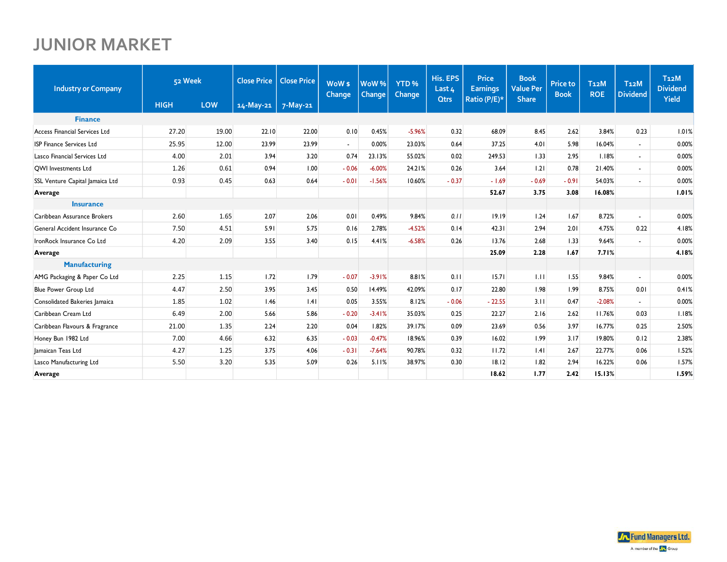## **JUNIOR MARKET**

| <b>Industry or Company</b>      | 52 Week     |       | <b>Close Price</b> | <b>Close Price</b> | WoW <sub>s</sub><br>Change | WoW%<br>Change | YTD <sub>%</sub><br>Change | <b>His. EPS</b><br>Last 4 | <b>Price</b><br><b>Earnings</b> | <b>Book</b><br><b>Value Per</b> | <b>Price to</b><br><b>Book</b> | T <sub>12</sub> M<br><b>ROE</b> | T <sub>12</sub> M<br><b>Dividend</b> | T <sub>12</sub> M<br><b>Dividend</b> |
|---------------------------------|-------------|-------|--------------------|--------------------|----------------------------|----------------|----------------------------|---------------------------|---------------------------------|---------------------------------|--------------------------------|---------------------------------|--------------------------------------|--------------------------------------|
|                                 | <b>HIGH</b> | LOW   | 14-May-21          | 7-May-21           |                            |                |                            | <b>Qtrs</b>               | Ratio (P/E)*                    | <b>Share</b>                    |                                |                                 |                                      | Yield                                |
| <b>Finance</b>                  |             |       |                    |                    |                            |                |                            |                           |                                 |                                 |                                |                                 |                                      |                                      |
| Access Financial Services Ltd   | 27.20       | 19.00 | 22.10              | 22.00              | 0.10                       | 0.45%          | $-5.96%$                   | 0.32                      | 68.09                           | 8.45                            | 2.62                           | 3.84%                           | 0.23                                 | 1.01%                                |
| <b>ISP Finance Services Ltd</b> | 25.95       | 12.00 | 23.99              | 23.99              | $\sim$                     | 0.00%          | 23.03%                     | 0.64                      | 37.25                           | 4.01                            | 5.98                           | 16.04%                          | $\blacksquare$                       | 0.00%                                |
| Lasco Financial Services Ltd    | 4.00        | 2.01  | 3.94               | 3.20               | 0.74                       | 23.13%         | 55.02%                     | 0.02                      | 249.53                          | 1.33                            | 2.95                           | 1.18%                           | $\overline{\phantom{a}}$             | 0.00%                                |
| <b>QWI</b> Investments Ltd      | 1.26        | 0.61  | 0.94               | 1.00               | $-0.06$                    | $-6.00%$       | 24.21%                     | 0.26                      | 3.64                            | 1.21                            | 0.78                           | 21.40%                          | $\blacksquare$                       | 0.00%                                |
| SSL Venture Capital Jamaica Ltd | 0.93        | 0.45  | 0.63               | 0.64               | $-0.01$                    | $-1.56%$       | 10.60%                     | $-0.37$                   | $-1.69$                         | $-0.69$                         | $-0.91$                        | 54.03%                          | $\overline{\phantom{a}}$             | 0.00%                                |
| Average                         |             |       |                    |                    |                            |                |                            |                           | 52.67                           | 3.75                            | 3.08                           | 16.08%                          |                                      | 1.01%                                |
| <b>Insurance</b>                |             |       |                    |                    |                            |                |                            |                           |                                 |                                 |                                |                                 |                                      |                                      |
| Caribbean Assurance Brokers     | 2.60        | 1.65  | 2.07               | 2.06               | 0.01                       | 0.49%          | 9.84%                      | 0.11                      | 19.19                           | 1.24                            | 1.67                           | 8.72%                           | $\overline{a}$                       | 0.00%                                |
| General Accident Insurance Co   | 7.50        | 4.51  | 5.91               | 5.75               | 0.16                       | 2.78%          | $-4.52%$                   | 0.14                      | 42.31                           | 2.94                            | 2.01                           | 4.75%                           | 0.22                                 | 4.18%                                |
| IronRock Insurance Co Ltd       | 4.20        | 2.09  | 3.55               | 3.40               | 0.15                       | 4.41%          | $-6.58%$                   | 0.26                      | 13.76                           | 2.68                            | 1.33                           | 9.64%                           | $\overline{a}$                       | 0.00%                                |
| Average                         |             |       |                    |                    |                            |                |                            |                           | 25.09                           | 2.28                            | 1.67                           | 7.71%                           |                                      | 4.18%                                |
| <b>Manufacturing</b>            |             |       |                    |                    |                            |                |                            |                           |                                 |                                 |                                |                                 |                                      |                                      |
| AMG Packaging & Paper Co Ltd    | 2.25        | 1.15  | 1.72               | 1.79               | $-0.07$                    | $-3.91%$       | 8.81%                      | 0.11                      | 15.71                           | 1.11                            | 1.55                           | 9.84%                           | $\overline{\phantom{a}}$             | 0.00%                                |
| Blue Power Group Ltd            | 4.47        | 2.50  | 3.95               | 3.45               | 0.50                       | 14.49%         | 42.09%                     | 0.17                      | 22.80                           | 1.98                            | 1.99                           | 8.75%                           | 0.01                                 | 0.41%                                |
| Consolidated Bakeries Jamaica   | 1.85        | 1.02  | 1.46               | .4                 | 0.05                       | 3.55%          | 8.12%                      | $-0.06$                   | $-22.55$                        | 3.11                            | 0.47                           | $-2.08%$                        | $\overline{\phantom{a}}$             | 0.00%                                |
| Caribbean Cream Ltd             | 6.49        | 2.00  | 5.66               | 5.86               | $-0.20$                    | $-3.41%$       | 35.03%                     | 0.25                      | 22.27                           | 2.16                            | 2.62                           | 11.76%                          | 0.03                                 | 1.18%                                |
| Caribbean Flavours & Fragrance  | 21.00       | 1.35  | 2.24               | 2.20               | 0.04                       | 1.82%          | 39.17%                     | 0.09                      | 23.69                           | 0.56                            | 3.97                           | 16.77%                          | 0.25                                 | 2.50%                                |
| Honey Bun 1982 Ltd              | 7.00        | 4.66  | 6.32               | 6.35               | $-0.03$                    | $-0.47%$       | 18.96%                     | 0.39                      | 16.02                           | 1.99                            | 3.17                           | 19.80%                          | 0.12                                 | 2.38%                                |
| Jamaican Teas Ltd               | 4.27        | 1.25  | 3.75               | 4.06               | $-0.31$                    | $-7.64%$       | 90.78%                     | 0.32                      | 11.72                           | .4                              | 2.67                           | 22.77%                          | 0.06                                 | 1.52%                                |
| Lasco Manufacturing Ltd         | 5.50        | 3.20  | 5.35               | 5.09               | 0.26                       | 5.11%          | 38.97%                     | 0.30                      | 18.12                           | 1.82                            | 2.94                           | 16.22%                          | 0.06                                 | 1.57%                                |
| Average                         |             |       |                    |                    |                            |                |                            |                           | 18.62                           | 1.77                            | 2.42                           | 15.13%                          |                                      | 1.59%                                |

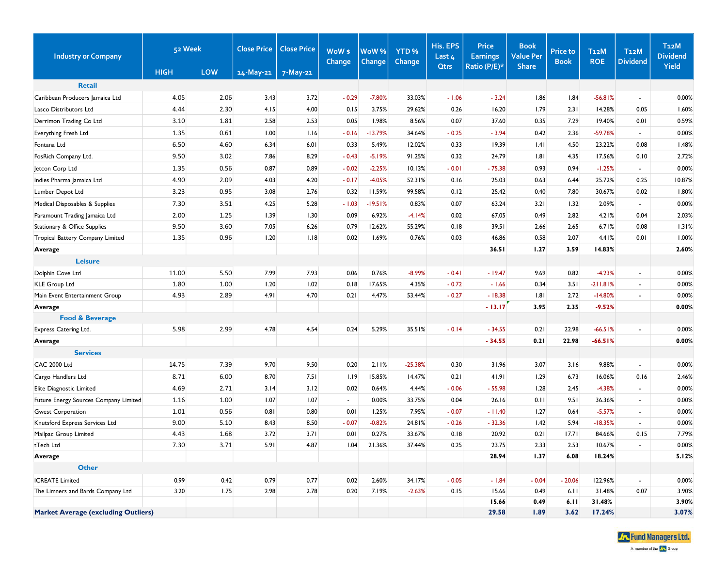| <b>Industry or Company</b>                 | 52 Week     |            | <b>Close Price</b> | <b>Close Price</b> | WoW \$<br>Change | WoW%<br><b>Change</b> | YTD <sub>%</sub><br><b>Change</b> | His. EPS<br>Last 4 | Price<br><b>Earnings</b> | <b>Book</b><br><b>Value Per</b> | <b>Price to</b><br><b>Book</b> | <b>T12M</b><br><b>ROE</b> | T <sub>12</sub> M<br><b>Dividend</b> | <b>T12M</b><br><b>Dividend</b> |
|--------------------------------------------|-------------|------------|--------------------|--------------------|------------------|-----------------------|-----------------------------------|--------------------|--------------------------|---------------------------------|--------------------------------|---------------------------|--------------------------------------|--------------------------------|
|                                            | <b>HIGH</b> | <b>LOW</b> | $14-May-21$        | $7-May-21$         |                  |                       |                                   | <b>Qtrs</b>        | Ratio (P/E)*             | <b>Share</b>                    |                                |                           |                                      | Yield                          |
| <b>Retail</b>                              |             |            |                    |                    |                  |                       |                                   |                    |                          |                                 |                                |                           |                                      |                                |
| Caribbean Producers Jamaica Ltd            | 4.05        | 2.06       | 3.43               | 3.72               | $-0.29$          | $-7.80%$              | 33.03%                            | $-1.06$            | $-3.24$                  | 1.86                            | 1.84                           | $-56.81%$                 |                                      | 0.00%                          |
| Lasco Distributors Ltd                     | 4.44        | 2.30       | 4.15               | 4.00               | 0.15             | 3.75%                 | 29.62%                            | 0.26               | 16.20                    | 1.79                            | 2.31                           | 14.28%                    | 0.05                                 | 1.60%                          |
| Derrimon Trading Co Ltd                    | 3.10        | 1.81       | 2.58               | 2.53               | 0.05             | 1.98%                 | 8.56%                             | 0.07               | 37.60                    | 0.35                            | 7.29                           | 19.40%                    | 0.01                                 | 0.59%                          |
| Everything Fresh Ltd                       | 1.35        | 0.61       | 1.00               | 1.16               | $-0.16$          | $-13.79%$             | 34.64%                            | $-0.25$            | $-3.94$                  | 0.42                            | 2.36                           | -59.78%                   | $\blacksquare$                       | 0.00%                          |
| Fontana Ltd                                | 6.50        | 4.60       | 6.34               | 6.01               | 0.33             | 5.49%                 | 12.02%                            | 0.33               | 19.39                    | .4                              | 4.50                           | 23.22%                    | 0.08                                 | 1.48%                          |
| FosRich Company Ltd.                       | 9.50        | 3.02       | 7.86               | 8.29               | $-0.43$          | $-5.19%$              | 91.25%                            | 0.32               | 24.79                    | 1.81                            | 4.35                           | 17.56%                    | 0.10                                 | 2.72%                          |
| Jetcon Corp Ltd                            | 1.35        | 0.56       | 0.87               | 0.89               | $-0.02$          | $-2.25%$              | 10.13%                            | $-0.01$            | $-75.38$                 | 0.93                            | 0.94                           | $-1.25%$                  | $\overline{\phantom{a}}$             | 0.00%                          |
| Indies Pharma Jamaica Ltd                  | 4.90        | 2.09       | 4.03               | 4.20               | $-0.17$          | $-4.05%$              | 52.31%                            | 0.16               | 25.03                    | 0.63                            | 6.44                           | 25.72%                    | 0.25                                 | 10.87%                         |
| Lumber Depot Ltd                           | 3.23        | 0.95       | 3.08               | 2.76               | 0.32             | 11.59%                | 99.58%                            | 0.12               | 25.42                    | 0.40                            | 7.80                           | 30.67%                    | 0.02                                 | 1.80%                          |
| Medical Disposables & Supplies             | 7.30        | 3.51       | 4.25               | 5.28               | $-1.03$          | $-19.51%$             | 0.83%                             | 0.07               | 63.24                    | 3.21                            | 1.32                           | 2.09%                     | $\blacksquare$                       | 0.00%                          |
| Paramount Trading Jamaica Ltd              | 2.00        | 1.25       | 1.39               | 1.30               | 0.09             | 6.92%                 | $-4.14%$                          | 0.02               | 67.05                    | 0.49                            | 2.82                           | 4.21%                     | 0.04                                 | 2.03%                          |
| Stationary & Office Supplies               | 9.50        | 3.60       | 7.05               | 6.26               | 0.79             | 12.62%                | 55.29%                            | 0.18               | 39.51                    | 2.66                            | 2.65                           | 6.71%                     | 0.08                                 | 1.31%                          |
| Tropical Battery Compsny Limited           | 1.35        | 0.96       | 1.20               | 1.18               | 0.02             | 1.69%                 | 0.76%                             | 0.03               | 46.86                    | 0.58                            | 2.07                           | 4.41%                     | 0.01                                 | 1.00%                          |
| Average                                    |             |            |                    |                    |                  |                       |                                   |                    | 36.51                    | 1.27                            | 3.59                           | 14.83%                    |                                      | 2.60%                          |
| <b>Leisure</b>                             |             |            |                    |                    |                  |                       |                                   |                    |                          |                                 |                                |                           |                                      |                                |
| Dolphin Cove Ltd                           | 11.00       | 5.50       | 7.99               | 7.93               | 0.06             | 0.76%                 | $-8.99%$                          | $-0.41$            | $-19.47$                 | 9.69                            | 0.82                           | $-4.23%$                  | $\blacksquare$                       | 0.00%                          |
| <b>KLE Group Ltd</b>                       | 1.80        | 1.00       | 1.20               | 1.02               | 0.18             | 17.65%                | 4.35%                             | $-0.72$            | $-1.66$                  | 0.34                            | 3.51                           | $-211.81%$                | $\blacksquare$                       | 0.00%                          |
| Main Event Entertainment Group             | 4.93        | 2.89       | 4.91               | 4.70               | 0.21             | 4.47%                 | 53.44%                            | $-0.27$            | $-18.38$                 | 1.81                            | 2.72                           | $-14.80%$                 | $\overline{\phantom{a}}$             | 0.00%                          |
| Average                                    |             |            |                    |                    |                  |                       |                                   |                    | $-13.17$                 | 3.95                            | 2.35                           | $-9.52%$                  |                                      | 0.00%                          |
| <b>Food &amp; Beverage</b>                 |             |            |                    |                    |                  |                       |                                   |                    |                          |                                 |                                |                           |                                      |                                |
| Express Catering Ltd.                      | 5.98        | 2.99       | 4.78               | 4.54               | 0.24             | 5.29%                 | 35.51%                            | $-0.14$            | $-34.55$                 | 0.21                            | 22.98                          | $-66.51%$                 |                                      | 0.00%                          |
| Average                                    |             |            |                    |                    |                  |                       |                                   |                    | $-34.55$                 | 0.21                            | 22.98                          | $-66.51%$                 |                                      | 0.00%                          |
| <b>Services</b>                            |             |            |                    |                    |                  |                       |                                   |                    |                          |                                 |                                |                           |                                      |                                |
| <b>CAC 2000 Ltd</b>                        | 14.75       | 7.39       | 9.70               | 9.50               | 0.20             | 2.11%                 | $-25.38%$                         | 0.30               | 31.96                    | 3.07                            | 3.16                           | 9.88%                     | $\overline{\phantom{a}}$             | 0.00%                          |
| Cargo Handlers Ltd                         | 8.71        | 6.00       | 8.70               | 7.51               | 1.19             | 15.85%                | 14.47%                            | 0.21               | 41.91                    | 1.29                            | 6.73                           | 16.06%                    | 0.16                                 | 2.46%                          |
| Elite Diagnostic Limited                   | 4.69        | 2.71       | 3.14               | 3.12               | 0.02             | 0.64%                 | 4.44%                             | $-0.06$            | $-55.98$                 | 1.28                            | 2.45                           | $-4.38%$                  | $\frac{1}{2}$                        | 0.00%                          |
| Future Energy Sources Company Limited      | 1.16        | 1.00       | 1.07               | 1.07               | $\blacksquare$   | 0.00%                 | 33.75%                            | 0.04               | 26.16                    | 0.11                            | 9.51                           | 36.36%                    | $\blacksquare$                       | 0.00%                          |
| <b>Gwest Corporation</b>                   | 1.01        | 0.56       | 0.81               | 0.80               | 0.01             | 1.25%                 | 7.95%                             | $-0.07$            | $-11.40$                 | 1.27                            | 0.64                           | $-5.57%$                  | $\sim$                               | 0.00%                          |
| Knutsford Express Services Ltd             | 9.00        | 5.10       | 8.43               | 8.50               | $-0.07$          | $-0.82%$              | 24.81%                            | $-0.26$            | $-32.36$                 | 1.42                            | 5.94                           | $-18.35%$                 | $\sim$                               | 0.00%                          |
| Mailpac Group Limited                      | 4.43        | 1.68       | 3.72               | 3.71               | 0.01             | 0.27%                 | 33.67%                            | 0.18               | 20.92                    | 0.21                            | 17.71                          | 84.66%                    | 0.15                                 | 7.79%                          |
| tTech Ltd                                  | 7.30        | 3.71       | 5.91               | 4.87               | 1.04             | 21.36%                | 37.44%                            | 0.25               | 23.75                    | 2.33                            | 2.53                           | 10.67%                    |                                      | 0.00%                          |
| Average                                    |             |            |                    |                    |                  |                       |                                   |                    | 28.94                    | 1.37                            | 6.08                           | 18.24%                    |                                      | 5.12%                          |
| <b>Other</b>                               |             |            |                    |                    |                  |                       |                                   |                    |                          |                                 |                                |                           |                                      |                                |
| <b>ICREATE Limited</b>                     | 0.99        | 0.42       | 0.79               | 0.77               | 0.02             | 2.60%                 | 34.17%                            | $-0.05$            | $-1.84$                  | $-0.04$                         | $-20.06$                       | 122.96%                   | $\blacksquare$                       | 0.00%                          |
| The Limners and Bards Company Ltd          | 3.20        | 1.75       | 2.98               | 2.78               | 0.20             | 7.19%                 | $-2.63%$                          | 0.15               | 15.66                    | 0.49                            | 6.11                           | 31.48%                    | 0.07                                 | 3.90%                          |
|                                            |             |            |                    |                    |                  |                       |                                   |                    | 15.66                    | 0.49                            | 6.11                           | 31.48%                    |                                      | 3.90%                          |
| <b>Market Average (excluding Outliers)</b> |             |            |                    |                    |                  |                       |                                   |                    | 29.58                    | 1.89                            | 3.62                           | 17.24%                    |                                      | 3.07%                          |